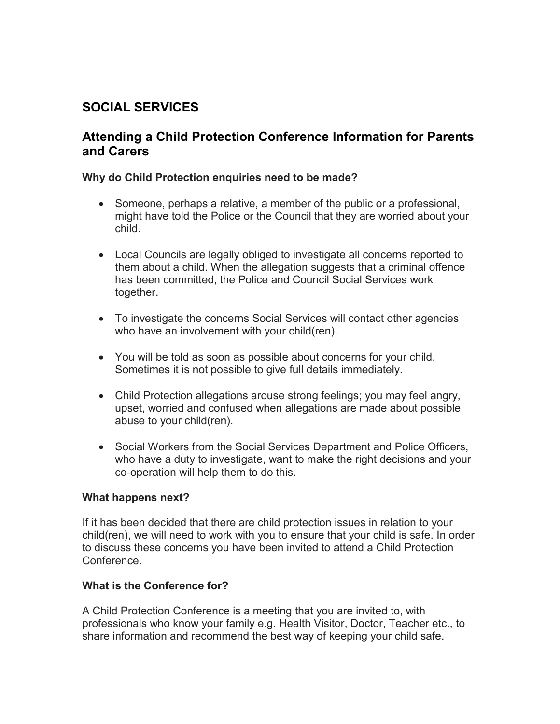# **SOCIAL SERVICES**

# **Attending a Child Protection Conference Information for Parents and Carers**

#### **Why do Child Protection enquiries need to be made?**

- Someone, perhaps a relative, a member of the public or a professional, might have told the Police or the Council that they are worried about your child.
- Local Councils are legally obliged to investigate all concerns reported to them about a child. When the allegation suggests that a criminal offence has been committed, the Police and Council Social Services work together.
- To investigate the concerns Social Services will contact other agencies who have an involvement with your child(ren).
- You will be told as soon as possible about concerns for your child. Sometimes it is not possible to give full details immediately.
- Child Protection allegations arouse strong feelings; you may feel angry, upset, worried and confused when allegations are made about possible abuse to your child(ren).
- Social Workers from the Social Services Department and Police Officers, who have a duty to investigate, want to make the right decisions and your co-operation will help them to do this.

#### **What happens next?**

If it has been decided that there are child protection issues in relation to your child(ren), we will need to work with you to ensure that your child is safe. In order to discuss these concerns you have been invited to attend a Child Protection Conference.

#### **What is the Conference for?**

A Child Protection Conference is a meeting that you are invited to, with professionals who know your family e.g. Health Visitor, Doctor, Teacher etc., to share information and recommend the best way of keeping your child safe.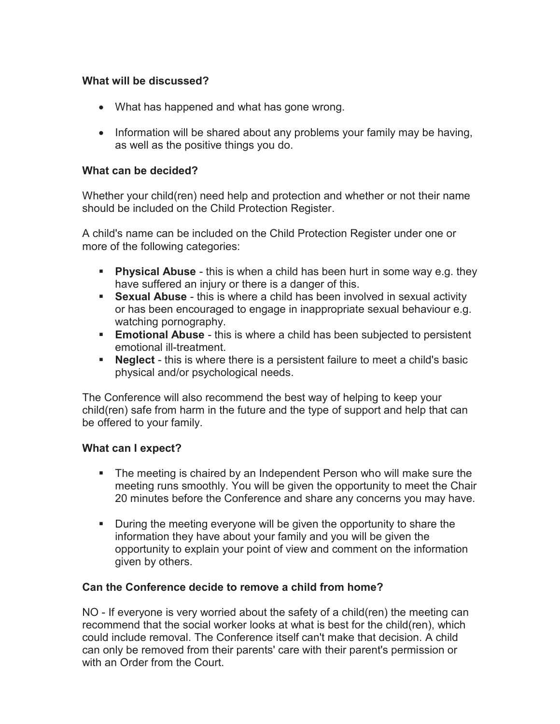## **What will be discussed?**

- What has happened and what has gone wrong.
- Information will be shared about any problems your family may be having, as well as the positive things you do.

### **What can be decided?**

Whether your child(ren) need help and protection and whether or not their name should be included on the Child Protection Register.

A child's name can be included on the Child Protection Register under one or more of the following categories:

- **Physical Abuse** this is when a child has been hurt in some way e.g. they have suffered an injury or there is a danger of this.
- **Sexual Abuse** this is where a child has been involved in sexual activity or has been encouraged to engage in inappropriate sexual behaviour e.g. watching pornography.
- **Emotional Abuse** this is where a child has been subjected to persistent emotional ill-treatment.
- **Neglect** this is where there is a persistent failure to meet a child's basic physical and/or psychological needs.

The Conference will also recommend the best way of helping to keep your child(ren) safe from harm in the future and the type of support and help that can be offered to your family.

# **What can I expect?**

- The meeting is chaired by an Independent Person who will make sure the meeting runs smoothly. You will be given the opportunity to meet the Chair 20 minutes before the Conference and share any concerns you may have.
- During the meeting everyone will be given the opportunity to share the information they have about your family and you will be given the opportunity to explain your point of view and comment on the information given by others.

# **Can the Conference decide to remove a child from home?**

NO - If everyone is very worried about the safety of a child(ren) the meeting can recommend that the social worker looks at what is best for the child(ren), which could include removal. The Conference itself can't make that decision. A child can only be removed from their parents' care with their parent's permission or with an Order from the Court.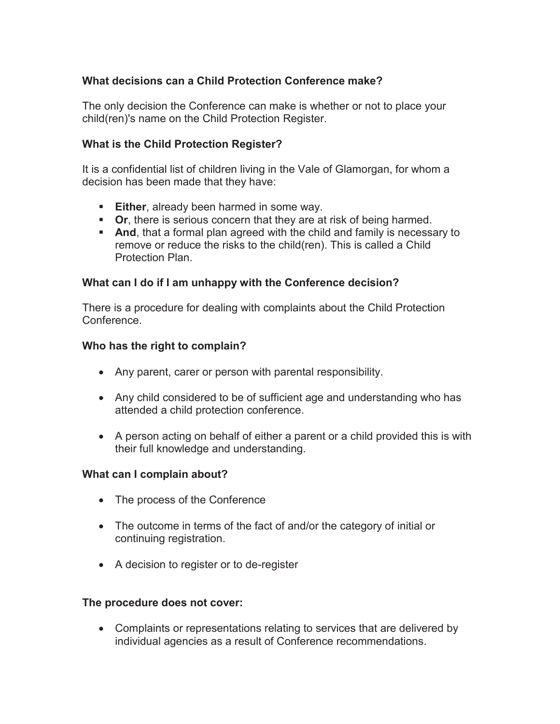# **What decisions can a Child Protection Conference make?**

The only decision the Conference can make is whether or not to place your child(ren)'s name on the Child Protection Register.

#### **What is the Child Protection Register?**

It is a confidential list of children living in the Vale of Glamorgan, for whom a decision has been made that they have:

- **Either**, already been harmed in some way.
- **Or, there is serious concern that they are at risk of being harmed.**
- **And**, that a formal plan agreed with the child and family is necessary to remove or reduce the risks to the child(ren). This is called a Child Protection Plan.

#### **What can I do if I am unhappy with the Conference decision?**

There is a procedure for dealing with complaints about the Child Protection Conference.

#### **Who has the right to complain?**

- Any parent, carer or person with parental responsibility.
- Any child considered to be of sufficient age and understanding who has attended a child protection conference.
- A person acting on behalf of either a parent or a child provided this is with their full knowledge and understanding.

#### **What can I complain about?**

- The process of the Conference
- The outcome in terms of the fact of and/or the category of initial or continuing registration.
- A decision to register or to de-register

#### **The procedure does not cover:**

 Complaints or representations relating to services that are delivered by individual agencies as a result of Conference recommendations.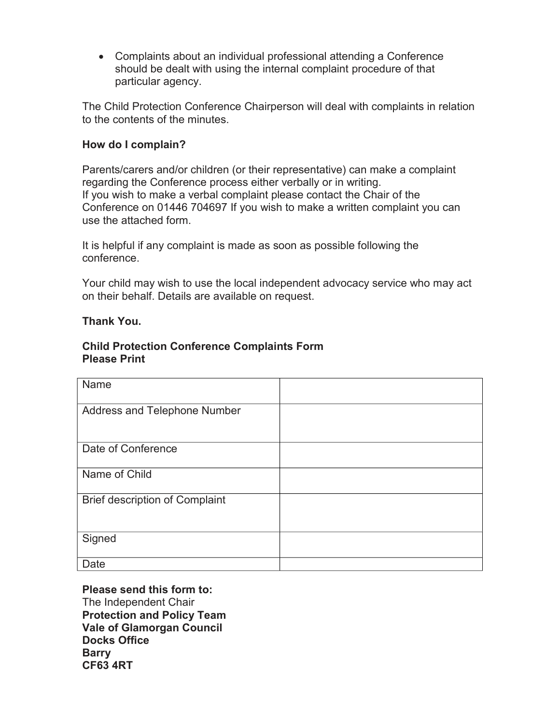Complaints about an individual professional attending a Conference should be dealt with using the internal complaint procedure of that particular agency.

The Child Protection Conference Chairperson will deal with complaints in relation to the contents of the minutes.

### **How do I complain?**

Parents/carers and/or children (or their representative) can make a complaint regarding the Conference process either verbally or in writing. If you wish to make a verbal complaint please contact the Chair of the Conference on 01446 704697 If you wish to make a written complaint you can use the attached form.

It is helpful if any complaint is made as soon as possible following the conference.

Your child may wish to use the local independent advocacy service who may act on their behalf. Details are available on request.

#### **Thank You.**

#### **Child Protection Conference Complaints Form Please Print**

| Name                                  |  |
|---------------------------------------|--|
| Address and Telephone Number          |  |
|                                       |  |
| Date of Conference                    |  |
| Name of Child                         |  |
| <b>Brief description of Complaint</b> |  |
| Signed                                |  |
| Date                                  |  |

**Please send this form to:**  The Independent Chair **Protection and Policy Team Vale of Glamorgan Council Docks Office Barry CF63 4RT**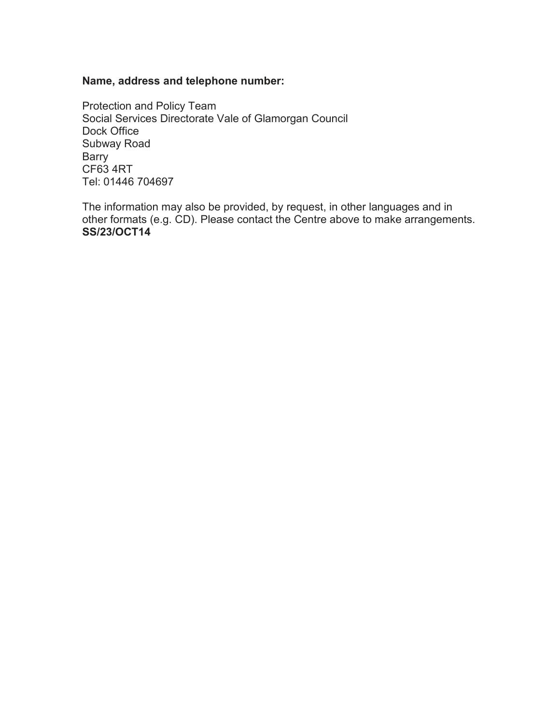#### **Name, address and telephone number:**

Protection and Policy Team Social Services Directorate Vale of Glamorgan Council Dock Office Subway Road Barry CF63 4RT Tel: 01446 704697

The information may also be provided, by request, in other languages and in other formats (e.g. CD). Please contact the Centre above to make arrangements. **SS/23/OCT14**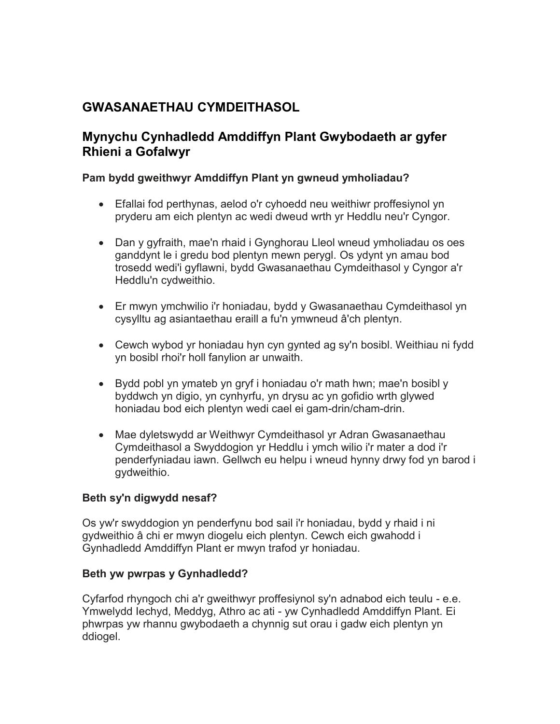# **GWASANAETHAU CYMDEITHASOL**

# **Mynychu Cynhadledd Amddiffyn Plant Gwybodaeth ar gyfer Rhieni a Gofalwyr**

### **Pam bydd gweithwyr Amddiffyn Plant yn gwneud ymholiadau?**

- Efallai fod perthynas, aelod o'r cyhoedd neu weithiwr proffesiynol yn pryderu am eich plentyn ac wedi dweud wrth yr Heddlu neu'r Cyngor.
- Dan y gyfraith, mae'n rhaid i Gynghorau Lleol wneud ymholiadau os oes ganddynt le i gredu bod plentyn mewn perygl. Os ydynt yn amau bod trosedd wedi'i gyflawni, bydd Gwasanaethau Cymdeithasol y Cyngor a'r Heddlu'n cydweithio.
- Er mwyn ymchwilio i'r honiadau, bydd y Gwasanaethau Cymdeithasol yn cysylltu ag asiantaethau eraill a fu'n ymwneud â'ch plentyn.
- Cewch wybod yr honiadau hyn cyn gynted ag sy'n bosibl. Weithiau ni fydd yn bosibl rhoi'r holl fanylion ar unwaith.
- Bydd pobl yn ymateb yn gryf i honiadau o'r math hwn; mae'n bosibl y byddwch yn digio, yn cynhyrfu, yn drysu ac yn gofidio wrth glywed honiadau bod eich plentyn wedi cael ei gam-drin/cham-drin.
- Mae dyletswydd ar Weithwyr Cymdeithasol yr Adran Gwasanaethau Cymdeithasol a Swyddogion yr Heddlu i ymch wilio i'r mater a dod i'r penderfyniadau iawn. Gellwch eu helpu i wneud hynny drwy fod yn barod i gydweithio.

#### **Beth sy'n digwydd nesaf?**

Os yw'r swyddogion yn penderfynu bod sail i'r honiadau, bydd y rhaid i ni gydweithio â chi er mwyn diogelu eich plentyn. Cewch eich gwahodd i Gynhadledd Amddiffyn Plant er mwyn trafod yr honiadau.

#### **Beth yw pwrpas y Gynhadledd?**

Cyfarfod rhyngoch chi a'r gweithwyr proffesiynol sy'n adnabod eich teulu - e.e. Ymwelydd Iechyd, Meddyg, Athro ac ati - yw Cynhadledd Amddiffyn Plant. Ei phwrpas yw rhannu gwybodaeth a chynnig sut orau i gadw eich plentyn yn ddiogel.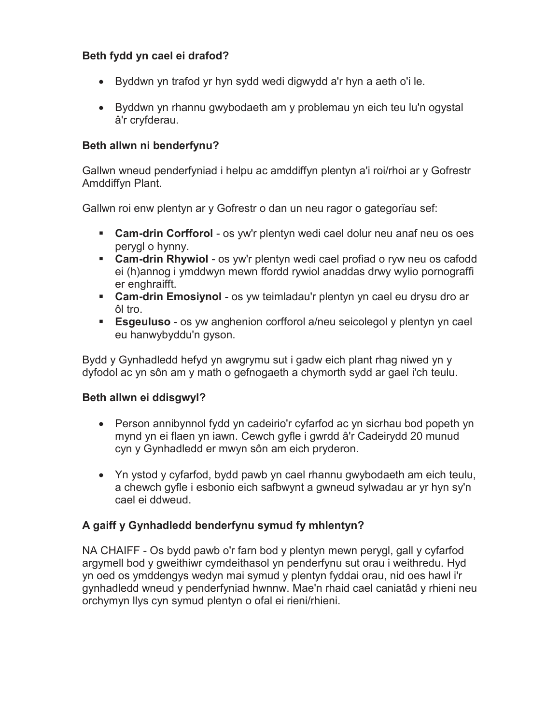# **Beth fydd yn cael ei drafod?**

- Byddwn yn trafod yr hyn sydd wedi digwydd a'r hyn a aeth o'i le.
- Byddwn yn rhannu gwybodaeth am y problemau yn eich teu lu'n ogystal â'r cryfderau.

# **Beth allwn ni benderfynu?**

Gallwn wneud penderfyniad i helpu ac amddiffyn plentyn a'i roi/rhoi ar y Gofrestr Amddiffyn Plant.

Gallwn roi enw plentyn ar y Gofrestr o dan un neu ragor o gategorïau sef:

- **Cam-drin Corfforol** os yw'r plentyn wedi cael dolur neu anaf neu os oes perygl o hynny.
- **Cam-drin Rhywiol** os yw'r plentyn wedi cael profiad o ryw neu os cafodd ei (h)annog i ymddwyn mewn ffordd rywiol anaddas drwy wylio pornograffi er enghraifft.
- **Cam-drin Emosiynol** os yw teimladau'r plentyn yn cael eu drysu dro ar ôl tro.
- **Esgeuluso** os yw anghenion corfforol a/neu seicolegol y plentyn yn cael eu hanwybyddu'n gyson.

Bydd y Gynhadledd hefyd yn awgrymu sut i gadw eich plant rhag niwed yn y dyfodol ac yn sôn am y math o gefnogaeth a chymorth sydd ar gael i'ch teulu.

# **Beth allwn ei ddisgwyl?**

- Person annibynnol fydd yn cadeirio'r cyfarfod ac yn sicrhau bod popeth yn mynd yn ei flaen yn iawn. Cewch gyfle i gwrdd â'r Cadeirydd 20 munud cyn y Gynhadledd er mwyn sôn am eich pryderon.
- Yn ystod y cyfarfod, bydd pawb yn cael rhannu gwybodaeth am eich teulu, a chewch gyfle i esbonio eich safbwynt a gwneud sylwadau ar yr hyn sy'n cael ei ddweud.

# **A gaiff y Gynhadledd benderfynu symud fy mhlentyn?**

NA CHAIFF - Os bydd pawb o'r farn bod y plentyn mewn perygl, gall y cyfarfod argymell bod y gweithiwr cymdeithasol yn penderfynu sut orau i weithredu. Hyd yn oed os ymddengys wedyn mai symud y plentyn fyddai orau, nid oes hawl i'r gynhadledd wneud y penderfyniad hwnnw. Mae'n rhaid cael caniatâd y rhieni neu orchymyn llys cyn symud plentyn o ofal ei rieni/rhieni.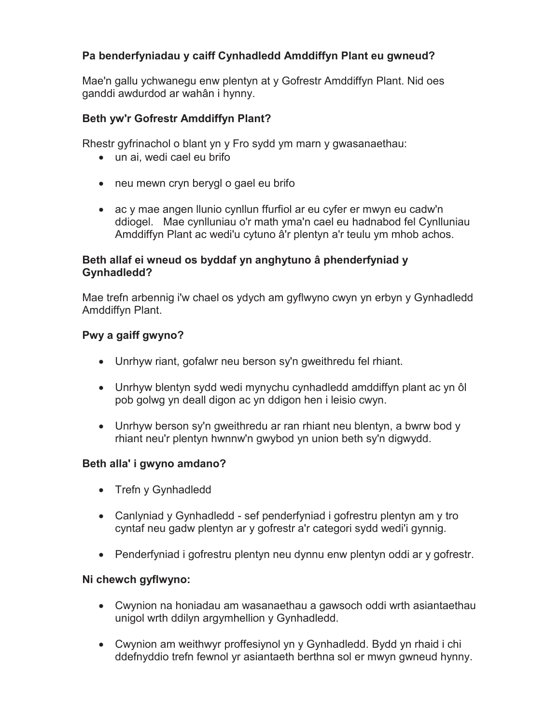# **Pa benderfyniadau y caiff Cynhadledd Amddiffyn Plant eu gwneud?**

Mae'n gallu ychwanegu enw plentyn at y Gofrestr Amddiffyn Plant. Nid oes ganddi awdurdod ar wahân i hynny.

## **Beth yw'r Gofrestr Amddiffyn Plant?**

Rhestr gyfrinachol o blant yn y Fro sydd ym marn y gwasanaethau:

- un ai, wedi cael eu brifo
- neu mewn cryn berygl o gael eu brifo
- ac y mae angen llunio cynllun ffurfiol ar eu cyfer er mwyn eu cadw'n ddiogel. Mae cynlluniau o'r math yma'n cael eu hadnabod fel Cynlluniau Amddiffyn Plant ac wedi'u cytuno â'r plentyn a'r teulu ym mhob achos.

### **Beth allaf ei wneud os byddaf yn anghytuno â phenderfyniad y Gynhadledd?**

Mae trefn arbennig i'w chael os ydych am gyflwyno cwyn yn erbyn y Gynhadledd Amddiffyn Plant.

## **Pwy a gaiff gwyno?**

- Unrhyw riant, gofalwr neu berson sy'n gweithredu fel rhiant.
- Unrhyw blentyn sydd wedi mynychu cynhadledd amddiffyn plant ac yn ôl pob golwg yn deall digon ac yn ddigon hen i leisio cwyn.
- Unrhyw berson sy'n gweithredu ar ran rhiant neu blentyn, a bwrw bod y rhiant neu'r plentyn hwnnw'n gwybod yn union beth sy'n digwydd.

# **Beth alla' i gwyno amdano?**

- Trefn y Gynhadledd
- Canlyniad y Gynhadledd sef penderfyniad i gofrestru plentyn am y tro cyntaf neu gadw plentyn ar y gofrestr a'r categori sydd wedi'i gynnig.
- Penderfyniad i gofrestru plentyn neu dynnu enw plentyn oddi ar y gofrestr.

#### **Ni chewch gyflwyno:**

- Cwynion na honiadau am wasanaethau a gawsoch oddi wrth asiantaethau unigol wrth ddilyn argymhellion y Gynhadledd.
- Cwynion am weithwyr proffesiynol yn y Gynhadledd. Bydd yn rhaid i chi ddefnyddio trefn fewnol yr asiantaeth berthna sol er mwyn gwneud hynny.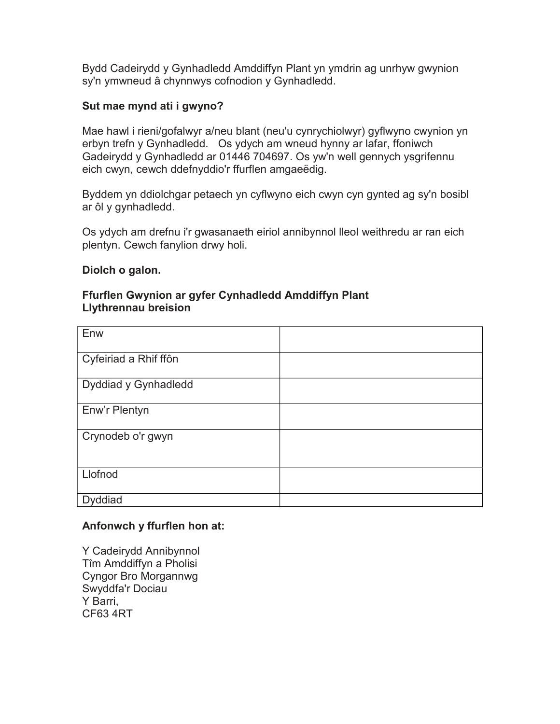Bydd Cadeirydd y Gynhadledd Amddiffyn Plant yn ymdrin ag unrhyw gwynion sy'n ymwneud â chynnwys cofnodion y Gynhadledd.

## **Sut mae mynd ati i gwyno?**

Mae hawl i rieni/gofalwyr a/neu blant (neu'u cynrychiolwyr) gyflwyno cwynion yn erbyn trefn y Gynhadledd. Os ydych am wneud hynny ar lafar, ffoniwch Gadeirydd y Gynhadledd ar 01446 704697. Os yw'n well gennych ysgrifennu eich cwyn, cewch ddefnyddio'r ffurflen amgaeëdig.

Byddem yn ddiolchgar petaech yn cyflwyno eich cwyn cyn gynted ag sy'n bosibl ar ôl y gynhadledd.

Os ydych am drefnu i'r gwasanaeth eiriol annibynnol lleol weithredu ar ran eich plentyn. Cewch fanylion drwy holi.

#### **Diolch o galon.**

#### **Ffurflen Gwynion ar gyfer Cynhadledd Amddiffyn Plant Llythrennau breision**

| Enw                   |  |
|-----------------------|--|
| Cyfeiriad a Rhif ffôn |  |
| Dyddiad y Gynhadledd  |  |
| Enw'r Plentyn         |  |
| Crynodeb o'r gwyn     |  |
| Llofnod               |  |
| <b>Dyddiad</b>        |  |

#### **Anfonwch y ffurflen hon at:**

Y Cadeirydd Annibynnol Tîm Amddiffyn a Pholisi Cyngor Bro Morgannwg Swyddfa'r Dociau Y Barri, CF63 4RT